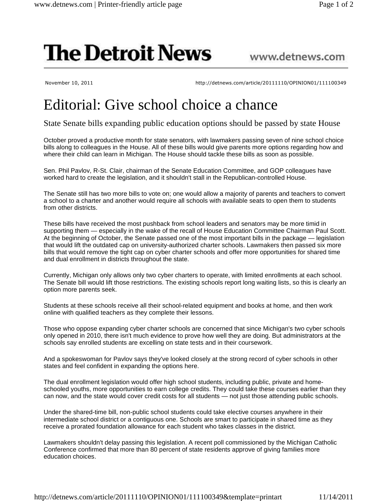## **The Detroit News**

www.detnews.com

November 10, 2011 **http://detnews.com/article/20111110/OPINION01/111100349** 

## Editorial: Give school choice a chance

State Senate bills expanding public education options should be passed by state House

October proved a productive month for state senators, with lawmakers passing seven of nine school choice bills along to colleagues in the House. All of these bills would give parents more options regarding how and where their child can learn in Michigan. The House should tackle these bills as soon as possible.

Sen. Phil Pavlov, R-St. Clair, chairman of the Senate Education Committee, and GOP colleagues have worked hard to create the legislation, and it shouldn't stall in the Republican-controlled House.

The Senate still has two more bills to vote on; one would allow a majority of parents and teachers to convert a school to a charter and another would require all schools with available seats to open them to students from other districts.

These bills have received the most pushback from school leaders and senators may be more timid in supporting them — especially in the wake of the recall of House Education Committee Chairman Paul Scott. At the beginning of October, the Senate passed one of the most important bills in the package — legislation that would lift the outdated cap on university-authorized charter schools. Lawmakers then passed six more bills that would remove the tight cap on cyber charter schools and offer more opportunities for shared time and dual enrollment in districts throughout the state.

Currently, Michigan only allows only two cyber charters to operate, with limited enrollments at each school. The Senate bill would lift those restrictions. The existing schools report long waiting lists, so this is clearly an option more parents seek.

Students at these schools receive all their school-related equipment and books at home, and then work online with qualified teachers as they complete their lessons.

Those who oppose expanding cyber charter schools are concerned that since Michigan's two cyber schools only opened in 2010, there isn't much evidence to prove how well they are doing. But administrators at the schools say enrolled students are excelling on state tests and in their coursework.

And a spokeswoman for Pavlov says they've looked closely at the strong record of cyber schools in other states and feel confident in expanding the options here.

The dual enrollment legislation would offer high school students, including public, private and homeschooled youths, more opportunities to earn college credits. They could take these courses earlier than they can now, and the state would cover credit costs for all students — not just those attending public schools.

Under the shared-time bill, non-public school students could take elective courses anywhere in their intermediate school district or a contiguous one. Schools are smart to participate in shared time as they receive a prorated foundation allowance for each student who takes classes in the district.

Lawmakers shouldn't delay passing this legislation. A recent poll commissioned by the Michigan Catholic Conference confirmed that more than 80 percent of state residents approve of giving families more education choices.